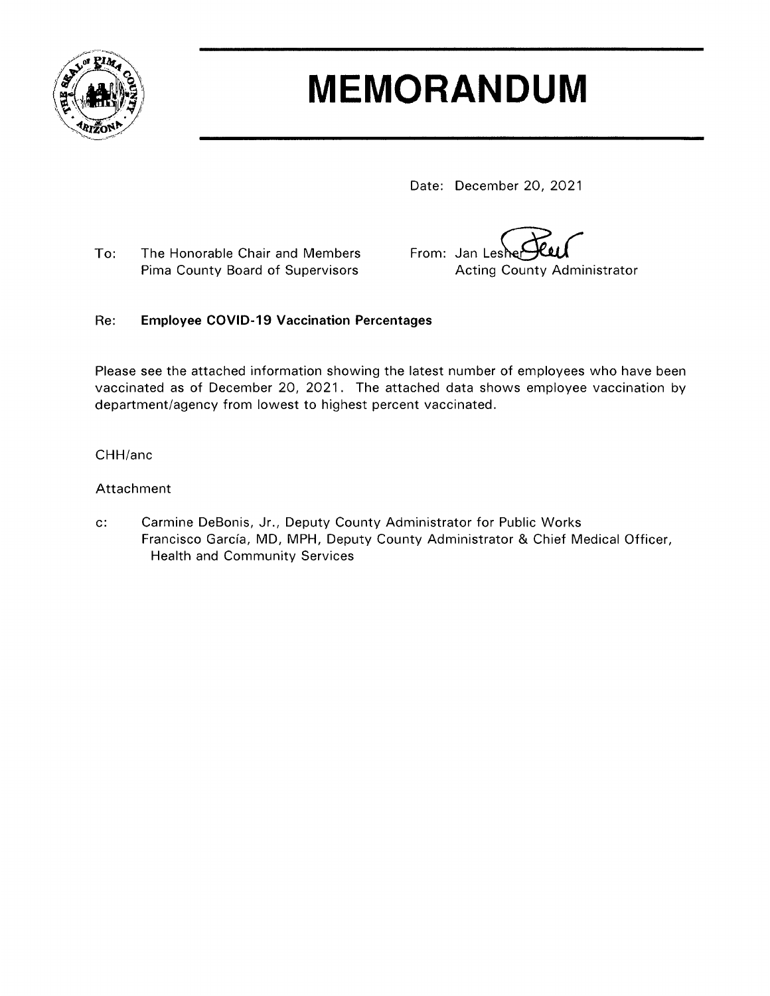

# **MEMORANDUM**

Date: December 20, 2021

The Honorable Chair and Members To: Pima County Board of Supervisors

From: Jan Leshe **Acting County Administrator** 

#### **Employee COVID-19 Vaccination Percentages** Re:

Please see the attached information showing the latest number of employees who have been vaccinated as of December 20, 2021. The attached data shows employee vaccination by department/agency from lowest to highest percent vaccinated.

#### CHH/anc

### Attachment

Carmine DeBonis, Jr., Deputy County Administrator for Public Works  $c$ : Francisco García, MD, MPH, Deputy County Administrator & Chief Medical Officer, **Health and Community Services**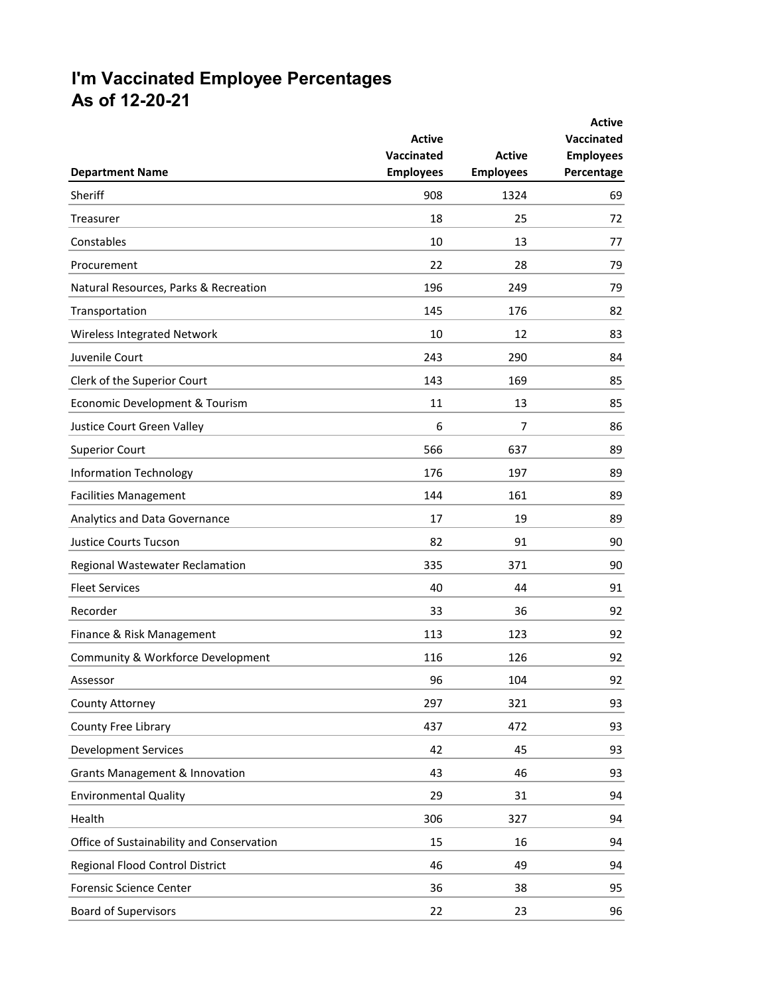## **I'm Vaccinated Employee Percentages As of 12-20-21**

|                                           | <b>Active</b><br>Vaccinated | <b>Active</b>    | <b>Active</b><br>Vaccinated<br><b>Employees</b> |
|-------------------------------------------|-----------------------------|------------------|-------------------------------------------------|
| <b>Department Name</b>                    | <b>Employees</b>            | <b>Employees</b> | Percentage                                      |
| Sheriff                                   | 908                         | 1324             | 69                                              |
| Treasurer                                 | 18                          | 25               | 72                                              |
| Constables                                | 10                          | 13               | 77                                              |
| Procurement                               | 22                          | 28               | 79                                              |
| Natural Resources, Parks & Recreation     | 196                         | 249              | 79                                              |
| Transportation                            | 145                         | 176              | 82                                              |
| Wireless Integrated Network               | 10                          | 12               | 83                                              |
| Juvenile Court                            | 243                         | 290              | 84                                              |
| Clerk of the Superior Court               | 143                         | 169              | 85                                              |
| Economic Development & Tourism            | 11                          | 13               | 85                                              |
| Justice Court Green Valley                | 6                           | 7                | 86                                              |
| <b>Superior Court</b>                     | 566                         | 637              | 89                                              |
| <b>Information Technology</b>             | 176                         | 197              | 89                                              |
| <b>Facilities Management</b>              | 144                         | 161              | 89                                              |
| Analytics and Data Governance             | 17                          | 19               | 89                                              |
| <b>Justice Courts Tucson</b>              | 82                          | 91               | 90                                              |
| Regional Wastewater Reclamation           | 335                         | 371              | 90                                              |
| <b>Fleet Services</b>                     | 40                          | 44               | 91                                              |
| Recorder                                  | 33                          | 36               | 92                                              |
| Finance & Risk Management                 | 113                         | 123              | 92                                              |
| Community & Workforce Development         | 116                         | 126              | 92                                              |
| Assessor                                  | 96                          | 104              | 92                                              |
| <b>County Attorney</b>                    | 297                         | 321              | 93                                              |
| County Free Library                       | 437                         | 472              | 93                                              |
| <b>Development Services</b>               | 42                          | 45               | 93                                              |
| <b>Grants Management &amp; Innovation</b> | 43                          | 46               | 93                                              |
| <b>Environmental Quality</b>              | 29                          | 31               | 94                                              |
| Health                                    | 306                         | 327              | 94                                              |
| Office of Sustainability and Conservation | 15                          | 16               | 94                                              |
| Regional Flood Control District           | 46                          | 49               | 94                                              |
| Forensic Science Center                   | 36                          | 38               | 95                                              |
| <b>Board of Supervisors</b>               | 22                          | 23               | 96                                              |